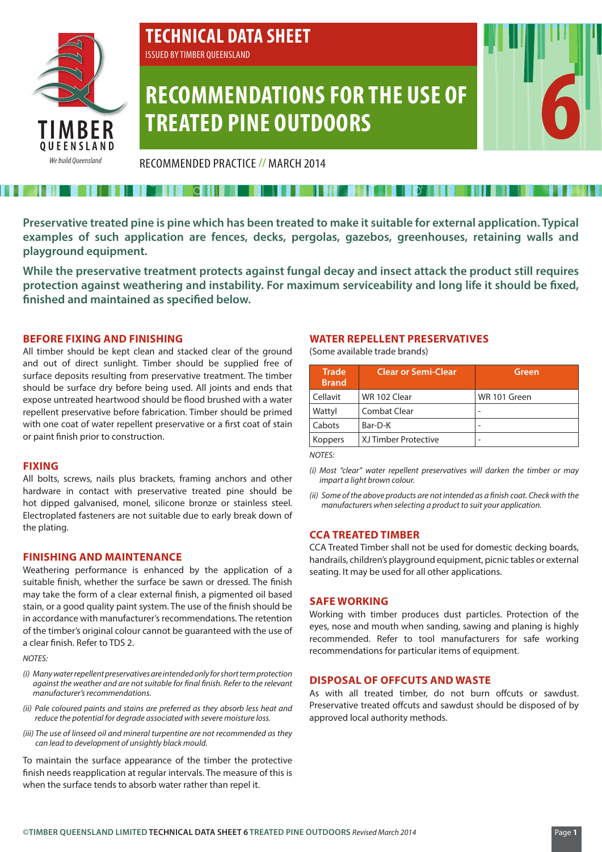

# **TECHNICAL DATA SHEET**

ISSUED BY TIMBER QUEENSLAND

## **RECOMMENDATIONS FOR THE USE OF TREATED PINE OUTDOORS**

RECOMMENDED PRACTICE // MARCH 2014

**Preservative treated pine is pine which has been treated to make it suitable for external application. Typical examples of such application are fences, decks, pergolas, gazebos, greenhouses, retaining walls and playground equipment.**

**While the preservative treatment protects against fungal decay and insect attack the product still requires protection against weathering and instability. For maximum serviceability and long life it should be fixed, finished and maintained as specified below.**

#### **BEFORE FIXING AND FINISHING**

All timber should be kept clean and stacked clear of the ground and out of direct sunlight. Timber should be supplied free of surface deposits resulting from preservative treatment. The timber should be surface dry before being used. All joints and ends that expose untreated heartwood should be flood brushed with a water repellent preservative before fabrication. Timber should be primed with one coat of water repellent preservative or a first coat of stain or paint finish prior to construction.

#### **FIXING**

All bolts, screws, nails plus brackets, framing anchors and other hardware in contact with preservative treated pine should be hot dipped galvanised, monel, silicone bronze or stainless steel. Electroplated fasteners are not suitable due to early break down of the plating.

### **FINISHING AND MAINTENANCE**

Weathering performance is enhanced by the application of a suitable finish, whether the surface be sawn or dressed. The finish may take the form of a clear external finish, a pigmented oil based stain, or a good quality paint system. The use of the finish should be in accordance with manufacturer's recommendations. The retention of the timber's original colour cannot be guaranteed with the use of a clear finish. Refer to TDS 2.

#### *NOTES:*

- *(i) Many water repellent preservatives are intended only for short term protection against the weather and are not suitable for final finish. Refer to the relevant manufacturer's recommendations.*
- *(ii) Pale coloured paints and stains are preferred as they absorb less heat and reduce the potential for degrade associated with severe moisture loss.*
- *(iii) The use of linseed oil and mineral turpentine are not recommended as they can lead to development of unsightly black mould.*

To maintain the surface appearance of the timber the protective finish needs reapplication at regular intervals. The measure of this is when the surface tends to absorb water rather than repel it.

#### **WATER REPELLENT PRESERVATIVES**

(Some available trade brands)

| <b>Trade</b><br><b>Brand</b> | <b>Clear or Semi-Clear</b> | Green        |
|------------------------------|----------------------------|--------------|
| Cellavit                     | WR 102 Clear               | WR 101 Green |
| Wattyl                       | Combat Clear               |              |
| Cabots                       | Bar-D-K                    |              |
| Koppers                      | XJ Timber Protective       |              |

*NOTES:*

- *(i) Most "clear" water repellent preservatives will darken the timber or may impart a light brown colour.*
- *(ii) Some of the above products are not intended as a finish coat. Check with the manufacturers when selecting a product to suit your application.*

### **CCA TREATED TIMBER**

CCA Treated Timber shall not be used for domestic decking boards, handrails, children's playground equipment, picnic tables or external seating. It may be used for all other applications.

### **SAFE WORKING**

Working with timber produces dust particles. Protection of the eyes, nose and mouth when sanding, sawing and planing is highly recommended. Refer to tool manufacturers for safe working recommendations for particular items of equipment.

#### **DISPOSAL OF OFFCUTS AND WASTE**

As with all treated timber, do not burn offcuts or sawdust. Preservative treated offcuts and sawdust should be disposed of by approved local authority methods.

**6**